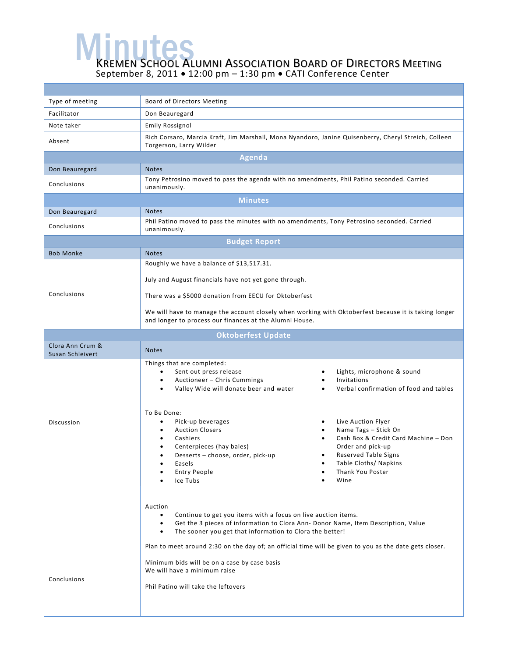**MEMEN SCHOOL ALUMNI ASSOCIATION BOARD OF DIRECTORS MEETING** September 8, 2011 • 12:00 pm – 1:30 pm • CATI Conference Center

| Type of meeting                      | <b>Board of Directors Meeting</b>                                                                                                                                                                                                                                                                                                                                                                                                                                                                                                                                                                                                                                              |  |  |  |  |
|--------------------------------------|--------------------------------------------------------------------------------------------------------------------------------------------------------------------------------------------------------------------------------------------------------------------------------------------------------------------------------------------------------------------------------------------------------------------------------------------------------------------------------------------------------------------------------------------------------------------------------------------------------------------------------------------------------------------------------|--|--|--|--|
| Facilitator                          | Don Beauregard                                                                                                                                                                                                                                                                                                                                                                                                                                                                                                                                                                                                                                                                 |  |  |  |  |
| Note taker                           | <b>Emily Rossignol</b>                                                                                                                                                                                                                                                                                                                                                                                                                                                                                                                                                                                                                                                         |  |  |  |  |
| Absent                               | Rich Corsaro, Marcia Kraft, Jim Marshall, Mona Nyandoro, Janine Quisenberry, Cheryl Streich, Colleen<br>Torgerson, Larry Wilder                                                                                                                                                                                                                                                                                                                                                                                                                                                                                                                                                |  |  |  |  |
| <b>Agenda</b>                        |                                                                                                                                                                                                                                                                                                                                                                                                                                                                                                                                                                                                                                                                                |  |  |  |  |
| Don Beauregard                       | <b>Notes</b>                                                                                                                                                                                                                                                                                                                                                                                                                                                                                                                                                                                                                                                                   |  |  |  |  |
| Conclusions                          | Tony Petrosino moved to pass the agenda with no amendments, Phil Patino seconded. Carried<br>unanimously.                                                                                                                                                                                                                                                                                                                                                                                                                                                                                                                                                                      |  |  |  |  |
|                                      | <b>Minutes</b>                                                                                                                                                                                                                                                                                                                                                                                                                                                                                                                                                                                                                                                                 |  |  |  |  |
| Don Beauregard                       | <b>Notes</b>                                                                                                                                                                                                                                                                                                                                                                                                                                                                                                                                                                                                                                                                   |  |  |  |  |
| Conclusions                          | Phil Patino moved to pass the minutes with no amendments, Tony Petrosino seconded. Carried<br>unanimously.                                                                                                                                                                                                                                                                                                                                                                                                                                                                                                                                                                     |  |  |  |  |
| <b>Budget Report</b>                 |                                                                                                                                                                                                                                                                                                                                                                                                                                                                                                                                                                                                                                                                                |  |  |  |  |
| <b>Bob Monke</b>                     | <b>Notes</b>                                                                                                                                                                                                                                                                                                                                                                                                                                                                                                                                                                                                                                                                   |  |  |  |  |
|                                      | Roughly we have a balance of \$13,517.31.                                                                                                                                                                                                                                                                                                                                                                                                                                                                                                                                                                                                                                      |  |  |  |  |
|                                      | July and August financials have not yet gone through.                                                                                                                                                                                                                                                                                                                                                                                                                                                                                                                                                                                                                          |  |  |  |  |
| Conclusions                          | There was a \$5000 donation from EECU for Oktoberfest                                                                                                                                                                                                                                                                                                                                                                                                                                                                                                                                                                                                                          |  |  |  |  |
|                                      | We will have to manage the account closely when working with Oktoberfest because it is taking longer<br>and longer to process our finances at the Alumni House.                                                                                                                                                                                                                                                                                                                                                                                                                                                                                                                |  |  |  |  |
|                                      | <b>Oktoberfest Update</b>                                                                                                                                                                                                                                                                                                                                                                                                                                                                                                                                                                                                                                                      |  |  |  |  |
| Clora Ann Crum &<br>Susan Schleivert | <b>Notes</b>                                                                                                                                                                                                                                                                                                                                                                                                                                                                                                                                                                                                                                                                   |  |  |  |  |
| Discussion                           | Things that are completed:<br>Sent out press release<br>Lights, microphone & sound<br>Invitations<br>Auctioneer - Chris Cummings<br>$\bullet$<br>$\bullet$<br>Verbal confirmation of food and tables<br>Valley Wide will donate beer and water<br>$\bullet$<br>To Be Done:<br>Pick-up beverages<br>Live Auction Flyer<br>٠<br><b>Auction Closers</b><br>Name Tags - Stick On<br>٠<br>Cash Box & Credit Card Machine - Don<br>Cashiers<br>$\bullet$<br>Order and pick-up<br>Centerpieces (hay bales)<br><b>Reserved Table Signs</b><br>Desserts - choose, order, pick-up<br>٠<br>Easels<br>Table Cloths/ Napkins<br>Thank You Poster<br><b>Entry People</b><br>Wine<br>Ice Tubs |  |  |  |  |
|                                      | Auction<br>Continue to get you items with a focus on live auction items.<br>$\bullet$<br>Get the 3 pieces of information to Clora Ann- Donor Name, Item Description, Value<br>$\bullet$<br>The sooner you get that information to Clora the better!<br>$\bullet$                                                                                                                                                                                                                                                                                                                                                                                                               |  |  |  |  |
| Conclusions                          | Plan to meet around 2:30 on the day of; an official time will be given to you as the date gets closer.<br>Minimum bids will be on a case by case basis<br>We will have a minimum raise<br>Phil Patino will take the leftovers                                                                                                                                                                                                                                                                                                                                                                                                                                                  |  |  |  |  |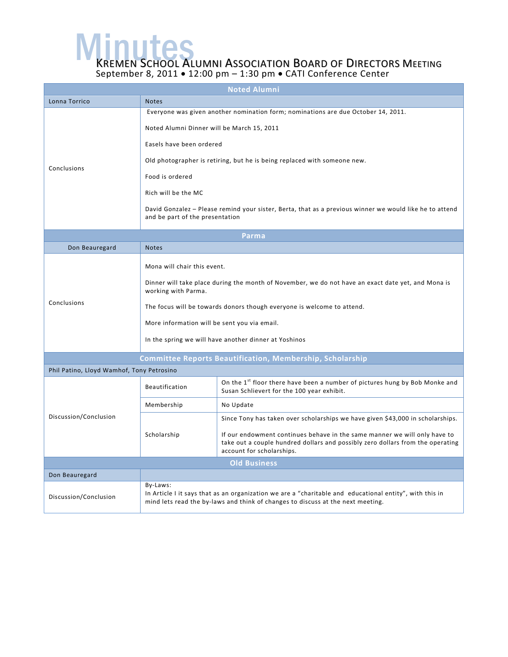**MEMEN SCHOOL ALUMNI ASSOCIATION BOARD OF DIRECTORS MEETING** 

September 8, 2011 • 12:00 pm – 1:30 pm • CATI Conference Center

| <b>Noted Alumni</b>                       |                                                                                                                                                                                                                                                                                                                                                                                                                                 |                                                                                                                                                                                                                                                                            |  |  |
|-------------------------------------------|---------------------------------------------------------------------------------------------------------------------------------------------------------------------------------------------------------------------------------------------------------------------------------------------------------------------------------------------------------------------------------------------------------------------------------|----------------------------------------------------------------------------------------------------------------------------------------------------------------------------------------------------------------------------------------------------------------------------|--|--|
| Lonna Torrico                             | <b>Notes</b>                                                                                                                                                                                                                                                                                                                                                                                                                    |                                                                                                                                                                                                                                                                            |  |  |
| Conclusions                               | Everyone was given another nomination form; nominations are due October 14, 2011.<br>Noted Alumni Dinner will be March 15, 2011<br>Easels have been ordered<br>Old photographer is retiring, but he is being replaced with someone new.<br>Food is ordered<br>Rich will be the MC<br>David Gonzalez - Please remind your sister, Berta, that as a previous winner we would like he to attend<br>and be part of the presentation |                                                                                                                                                                                                                                                                            |  |  |
| Parma                                     |                                                                                                                                                                                                                                                                                                                                                                                                                                 |                                                                                                                                                                                                                                                                            |  |  |
| Don Beauregard                            | <b>Notes</b>                                                                                                                                                                                                                                                                                                                                                                                                                    |                                                                                                                                                                                                                                                                            |  |  |
| Conclusions                               | Mona will chair this event.<br>Dinner will take place during the month of November, we do not have an exact date yet, and Mona is<br>working with Parma.<br>The focus will be towards donors though everyone is welcome to attend.<br>More information will be sent you via email.<br>In the spring we will have another dinner at Yoshinos                                                                                     |                                                                                                                                                                                                                                                                            |  |  |
|                                           |                                                                                                                                                                                                                                                                                                                                                                                                                                 | <b>Committee Reports Beautification, Membership, Scholarship</b>                                                                                                                                                                                                           |  |  |
| Phil Patino, Lloyd Wamhof, Tony Petrosino |                                                                                                                                                                                                                                                                                                                                                                                                                                 |                                                                                                                                                                                                                                                                            |  |  |
| Discussion/Conclusion                     | <b>Beautification</b>                                                                                                                                                                                                                                                                                                                                                                                                           | On the 1 <sup>st</sup> floor there have been a number of pictures hung by Bob Monke and<br>Susan Schlievert for the 100 year exhibit.                                                                                                                                      |  |  |
|                                           | Membership                                                                                                                                                                                                                                                                                                                                                                                                                      | No Update                                                                                                                                                                                                                                                                  |  |  |
|                                           | Scholarship                                                                                                                                                                                                                                                                                                                                                                                                                     | Since Tony has taken over scholarships we have given \$43,000 in scholarships.<br>If our endowment continues behave in the same manner we will only have to<br>take out a couple hundred dollars and possibly zero dollars from the operating<br>account for scholarships. |  |  |
| <b>Old Business</b>                       |                                                                                                                                                                                                                                                                                                                                                                                                                                 |                                                                                                                                                                                                                                                                            |  |  |
| Don Beauregard                            |                                                                                                                                                                                                                                                                                                                                                                                                                                 |                                                                                                                                                                                                                                                                            |  |  |
| Discussion/Conclusion                     | By-Laws:<br>In Article I it says that as an organization we are a "charitable and educational entity", with this in<br>mind lets read the by-laws and think of changes to discuss at the next meeting.                                                                                                                                                                                                                          |                                                                                                                                                                                                                                                                            |  |  |